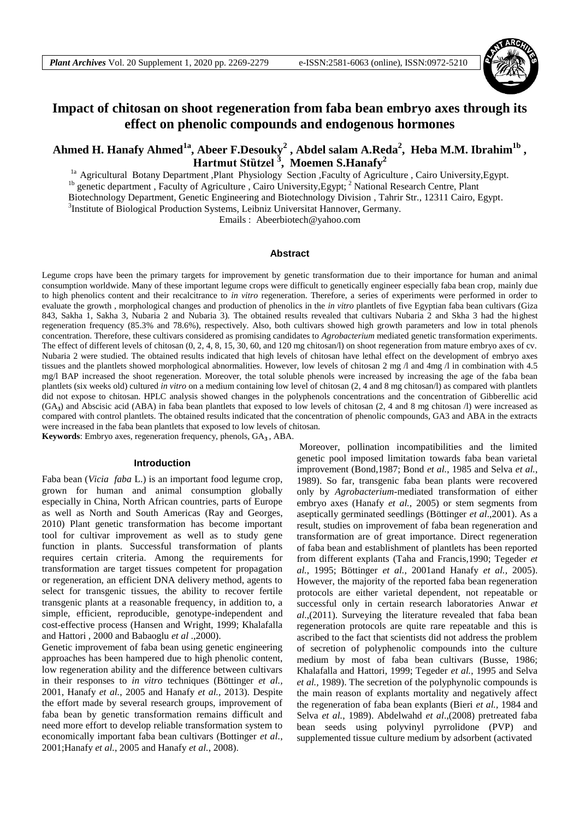

# **Impact of chitosan on shoot regeneration from faba bean embryo axes through its effect on phenolic compounds and endogenous hormones**

# **Ahmed H. Hanafy Ahmed1a, Abeer F.Desouky<sup>2</sup> , Abdel salam A.Reda<sup>2</sup> , Heba M.M. Ibrahim1b , Hartmut Stȕtzel <sup>3</sup> , Moemen S.Hanafy<sup>2</sup>**

<sup>1a</sup> Agricultural Botany Department ,Plant Physiology Section ,Faculty of Agriculture , Cairo University,Egypt. <sup>1b</sup> genetic department, Faculty of Agriculture, Cairo University, Egypt; <sup>2</sup> National Research Centre, Plant Biotechnology Department, Genetic Engineering and Biotechnology Division , Tahrir Str., 12311 Cairo, Egypt. 3 Institute of Biological Production Systems, Leibniz Universitat Hannover, Germany.

Emails : [Abeerbiotech@yahoo.com](mailto:Abeerbiotech@yahoo.com)

## **Abstract**

Legume crops have been the primary targets for improvement by genetic transformation due to their importance for human and animal consumption worldwide. Many of these important legume crops were difficult to genetically engineer especially faba bean crop, mainly due to high phenolics content and their recalcitrance to *in vitro* regeneration. Therefore, a series of experiments were performed in order to evaluate the growth , morphological changes and production of phenolics in the *in vitro* plantlets of five Egyptian faba bean cultivars (Giza 843, Sakha 1, Sakha 3, Nubaria 2 and Nubaria 3). The obtained results revealed that cultivars Nubaria 2 and Skha 3 had the highest regeneration frequency (85.3% and 78.6%), respectively. Also, both cultivars showed high growth parameters and low in total phenols concentration. Therefore, these cultivars considered as promising candidates to *Agrobacterium* mediated genetic transformation experiments. The effect of different levels of chitosan (0, 2, 4, 8, 15, 30, 60, and 120 mg chitosan/l) on shoot regeneration from mature embryo axes of cv. Nubaria 2 were studied. The obtained results indicated that high levels of chitosan have lethal effect on the development of embryo axes tissues and the plantlets showed morphological abnormalities. However, low levels of chitosan 2 mg /l and 4mg /l in combination with 4.5 mg/l BAP increased the shoot regeneration. Moreover, the total soluble phenols were increased by increasing the age of the faba bean plantlets (six weeks old) cultured *in vitro* on a medium containing low level of chitosan (2, 4 and 8 mg chitosan/l) as compared with plantlets did not expose to chitosan. HPLC analysis showed changes in the polyphenols concentrations and the concentration of Gibberellic acid (GA**<sup>3</sup>** ) and Abscisic acid (ABA) in faba bean plantlets that exposed to low levels of chitosan (2, 4 and 8 mg chitosan /l) were increased as compared with control plantlets. The obtained results indicated that the concentration of phenolic compounds, GA3 and ABA in the extracts were increased in the faba bean plantlets that exposed to low levels of chitosan*.*

**Keywords**: Embryo axes, regeneration frequency, phenols, GA**<sup>3</sup>** , ABA.

#### **Introduction**

Faba bean (*Vicia faba* L.) is an important food legume crop, grown for human and animal consumption globally especially in China, North African countries, parts of Europe as well as North and South Americas (Ray and Georges, 2010) Plant genetic transformation has become important tool for cultivar improvement as well as to study gene function in plants. Successful transformation of plants requires certain criteria. Among the requirements for transformation are target tissues competent for propagation or regeneration, an efficient DNA delivery method, agents to select for transgenic tissues, the ability to recover fertile transgenic plants at a reasonable frequency, in addition to, a simple, efficient, reproducible, genotype-independent and cost-effective process (Hansen and Wright, 1999; Khalafalla and Hattori , 2000 and Babaoglu *et al* .,2000).

Genetic improvement of faba bean using genetic engineering approaches has been hampered due to high phenolic content, low regeneration ability and the difference between cultivars in their responses to *in vitro* techniques (Böttinger *et al.,*  2001, Hanafy *et al.*, 2005 and Hanafy *et al.,* 2013). Despite the effort made by several research groups, improvement of faba bean by genetic transformation remains difficult and need more effort to develop reliable transformation system to economically important faba bean cultivars (Bottinger *et al.*, 2001;Hanafy *et al.*, 2005 and Hanafy *et al.*, 2008).

Moreover, pollination incompatibilities and the limited genetic pool imposed limitation towards faba bean varietal improvement (Bond,1987; Bond *et al.*, 1985 and Selva *et al.*, 1989). So far, transgenic faba bean plants were recovered only by *Agrobacterium*-mediated transformation of either embryo axes (Hanafy *et al.,* 2005) or stem segments from aseptically germinated seedlings (Böttinger *et al*.,2001). As a result, studies on improvement of faba bean regeneration and transformation are of great importance. Direct regeneration of faba bean and establishment of plantlets has been reported from different explants (Taha and Francis,1990; Tegeder *et al.*, 1995; Böttinger *et al.*, 2001and Hanafy *et al.,* 2005). However, the majority of the reported faba bean regeneration protocols are either varietal dependent, not repeatable or successful only in certain research laboratories Anwar *et al*.,(2011). Surveying the literature revealed that faba bean regeneration protocols are quite rare repeatable and this is ascribed to the fact that scientists did not address the problem of secretion of polyphenolic compounds into the culture medium by most of faba bean cultivars (Busse, 1986; Khalafalla and Hattori, 1999; Tegeder *et al.*, 1995 and Selva *et al.,* 1989). The secretion of the polyphynolic compounds is the main reason of explants mortality and negatively affect the regeneration of faba bean explants (Bieri *et al.,* 1984 and Selva *et al.*, 1989). Abdelwahd *et al*.,(2008) pretreated faba bean seeds using polyvinyl pyrrolidone (PVP) and supplemented tissue culture medium by adsorbent (activated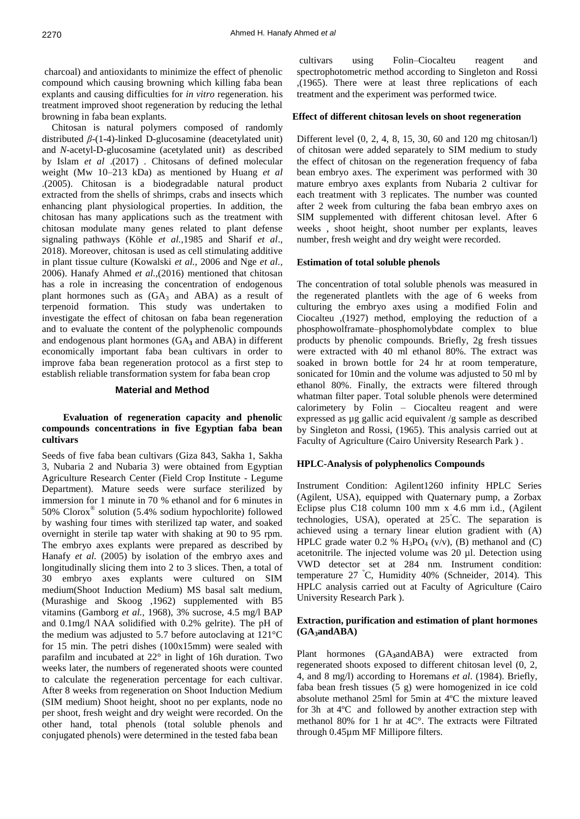charcoal) and antioxidants to minimize the effect of phenolic compound which causing browning which killing faba bean explants and causing difficulties for *in vitro* regeneration. his treatment improved shoot regeneration by reducing the lethal browning in faba bean explants.

 Chitosan is natural polymers composed of randomly distributed *β*-(1-4)-linked D-glucosamine (deacetylated unit) and *N*-acetyl-D-glucosamine (acetylated unit) as described by Islam *et al* .(2017) . Chitosans of defined molecular weight (Mw 10–213 kDa) as mentioned by Huang *et al* .(2005). Chitosan is a biodegradable natural product extracted from the shells of shrimps, crabs and insects which enhancing plant physiological properties. In addition, the chitosan has many applications such as the treatment with chitosan modulate many genes related to plant defense signaling pathways (Köhle *et al.*,1985 and Sharif *et al*., 2018). Moreover, chitosan is used as cell stimulating additive in plant tissue culture (Kowalski *et al.,* 2006 and Nge *et al.,*  2006). Hanafy Ahmed *et al.*,(2016) mentioned that chitosan has a role in increasing the concentration of endogenous plant hormones such as  $(GA_3 \text{ and } ABA)$  as a result of terpenoid formation. This study was undertaken to investigate the effect of chitosan on faba bean regeneration and to evaluate the content of the polyphenolic compounds and endogenous plant hormones (GA**<sup>3</sup>** and ABA) in different economically important faba bean cultivars in order to improve faba bean regeneration protocol as a first step to establish reliable transformation system for faba bean crop

# **Material and Method**

## **Evaluation of regeneration capacity and phenolic compounds concentrations in five Egyptian faba bean cultivars**

Seeds of five faba bean cultivars (Giza 843, Sakha 1, Sakha 3, Nubaria 2 and Nubaria 3) were obtained from Egyptian Agriculture Research Center (Field Crop Institute - Legume Department). Mature seeds were surface sterilized by immersion for 1 minute in 70 % ethanol and for 6 minutes in 50% Clorox® solution (5.4% sodium hypochlorite) followed by washing four times with sterilized tap water, and soaked overnight in sterile tap water with shaking at 90 to 95 rpm. The embryo axes explants were prepared as described by Hanafy *et al.* (2005) by isolation of the embryo axes and longitudinally slicing them into 2 to 3 slices. Then, a total of 30 embryo axes explants were cultured on SIM medium(Shoot Induction Medium) MS basal salt medium, (Murashige and Skoog ,1962) supplemented with B5 vitamins (Gamborg *et al.,* 1968), 3% sucrose, 4.5 mg/l BAP and 0.1mg/l NAA solidified with 0.2% gelrite). The pH of the medium was adjusted to 5.7 before autoclaving at 121°C for 15 min. The petri dishes (100x15mm) were sealed with parafilm and incubated at 22° in light of 16h duration. Two weeks later, the numbers of regenerated shoots were counted to calculate the regeneration percentage for each cultivar. After 8 weeks from regeneration on Shoot Induction Medium (SIM medium) Shoot height, shoot no per explants, node no per shoot, fresh weight and dry weight were recorded. On the other hand, total phenols (total soluble phenols and conjugated phenols) were determined in the tested faba bean

cultivars using Folin–Ciocalteu reagent and spectrophotometric method according to Singleton and Rossi ,(1965). There were at least three replications of each treatment and the experiment was performed twice.

#### **Effect of different chitosan levels on shoot regeneration**

Different level (0, 2, 4, 8, 15, 30, 60 and 120 mg chitosan/l) of chitosan were added separately to SIM medium to study the effect of chitosan on the regeneration frequency of faba bean embryo axes. The experiment was performed with 30 mature embryo axes explants from Nubaria 2 cultivar for each treatment with 3 replicates. The number was counted after 2 week from culturing the faba bean embryo axes on SIM supplemented with different chitosan level. After 6 weeks , shoot height, shoot number per explants, leaves number, fresh weight and dry weight were recorded.

#### **Estimation of total soluble phenols**

The concentration of total soluble phenols was measured in the regenerated plantlets with the age of 6 weeks from culturing the embryo axes using a modified Folin and Ciocalteu ,(1927) method, employing the reduction of a phosphowolframate–phosphomolybdate complex to blue products by phenolic compounds. Briefly, 2g fresh tissues were extracted with 40 ml ethanol 80%. The extract was soaked in brown bottle for 24 hr at room temperature, sonicated for 10min and the volume was adjusted to 50 ml by ethanol 80%. Finally, the extracts were filtered through whatman filter paper. Total soluble phenols were determined calorimetery by Folin – Ciocalteu reagent and were expressed as µg gallic acid equivalent /g sample as described by Singleton and Rossi, (1965). This analysis carried out at Faculty of Agriculture (Cairo University Research Park ) .

## **HPLC-Analysis of polyphenolics Compounds**

Instrument Condition: Agilent1260 infinity HPLC Series (Agilent, USA), equipped with Quaternary pump, a Zorbax Eclipse plus C18 column 100 mm x 4.6 mm i.d., (Agilent technologies, USA), operated at  $25^{\circ}$ C. The separation is achieved using a ternary linear elution gradient with (A) HPLC grade water 0.2 %  $H_3PO_4$  (v/v), (B) methanol and (C) acetonitrile. The injected volume was 20 µl. Detection using VWD detector set at 284 nm. Instrument condition: temperature 27 <sup>º</sup>C, Humidity 40% (Schneider*,* 2014). This HPLC analysis carried out at Faculty of Agriculture (Cairo University Research Park ).

## **Extraction, purification and estimation of plant hormones (GA3andABA)**

Plant hormones (GA**3**andABA) were extracted from regenerated shoots exposed to different chitosan level (0, 2, 4, and 8 mg/l) according to Horemans *et al*. (1984). Briefly, faba bean fresh tissues (5 g) were homogenized in ice cold absolute methanol 25ml for 5min at 4ºC the mixture leaved for 3h at 4ºC and followed by another extraction step with methanol 80% for 1 hr at 4C°. The extracts were Filtrated through 0.45µm MF Millipore filters.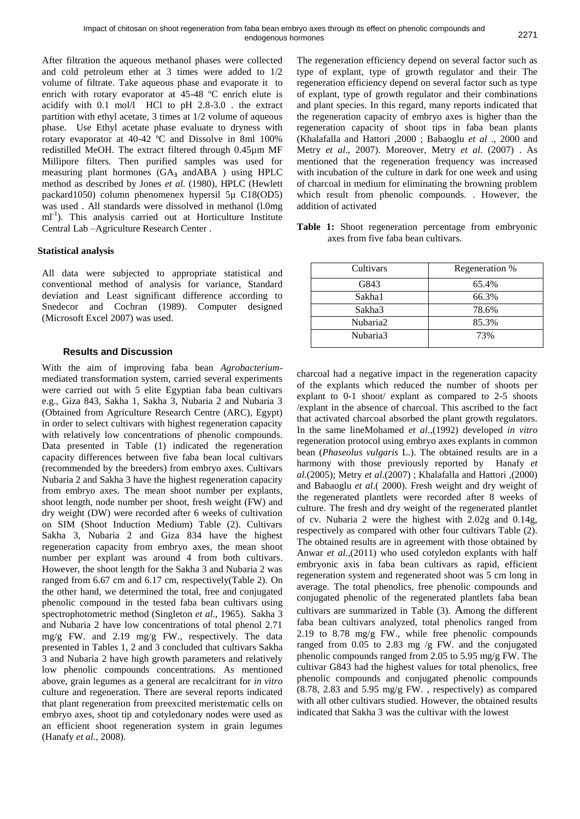After filtration the aqueous methanol phases were collected and cold petroleum ether at 3 times were added to 1/2 volume of filtrate. Take aqueous phase and evaporate it to enrich with rotary evaporator at 45-48 ºC enrich elute is acidify with 0.1 mol/l HCl to pH 2.8-3.0 . the extract partition with ethyl acetate, 3 times at 1/2 volume of aqueous phase. Use Ethyl acetate phase evaluate to dryness with rotary evaporator at 40-42 ºC and Dissolve in 8ml 100% redistilled MeOH. The extract filtered through 0.45µm MF Millipore filters. Then purified samples was used for measuring plant hormones (GA**<sup>3</sup>** andABA ) using HPLC method as described by Jones *et al*. (1980), HPLC (Hewlett packard1050) column phenomenex hypersil 5µ C18(OD5) was used . All standards were dissolved in methanol (l.0mg ml<sup>-1</sup>). This analysis carried out at Horticulture Institute Central Lab –Agriculture Research Center .

# **Statistical analysis**

All data were subjected to appropriate statistical and conventional method of analysis for variance, Standard deviation and Least significant difference according to Snedecor and Cochran (1989). Computer designed (Microsoft Excel 2007) was used.

## **Results and Discussion**

With the aim of improving faba bean *Agrobacterium*mediated transformation system, carried several experiments were carried out with 5 elite Egyptian faba bean cultivars e.g., Giza 843, Sakha 1, Sakha 3, Nubaria 2 and Nubaria 3 (Obtained from Agriculture Research Centre (ARC), Egypt) in order to select cultivars with highest regeneration capacity with relatively low concentrations of phenolic compounds. Data presented in Table (1) indicated the regeneration capacity differences between five faba bean local cultivars (recommended by the breeders) from embryo axes. Cultivars Nubaria 2 and Sakha 3 have the highest regeneration capacity from embryo axes. The mean shoot number per explants, shoot length, node number per shoot, fresh weight (FW) and dry weight (DW) were recorded after 6 weeks of cultivation on SIM (Shoot Induction Medium) Table (2). Cultivars Sakha 3, Nubaria 2 and Giza 834 have the highest regeneration capacity from embryo axes, the mean shoot number per explant was around 4 from both cultivars. However, the shoot length for the Sakha 3 and Nubaria 2 was ranged from 6.67 cm and 6.17 cm, respectively(Table 2). On the other hand, we determined the total, free and conjugated phenolic compound in the tested faba bean cultivars using spectrophotometric method (Singleton *et al*., 1965). Sakha 3 and Nubaria 2 have low concentrations of total phenol 2.71 mg/g FW. and 2.19 mg/g FW., respectively. The data presented in Tables 1, 2 and 3 concluded that cultivars Sakha 3 and Nubaria 2 have high growth parameters and relatively low phenolic compounds concentrations. As mentioned above, grain legumes as a general are recalcitrant for *in vitro* culture and regeneration. There are several reports indicated that plant regeneration from preexcited meristematic cells on embryo axes, shoot tip and cotyledonary nodes were used as an efficient shoot regeneration system in grain legumes (Hanafy *et al.,* 2008).

The regeneration efficiency depend on several factor such as type of explant, type of growth regulator and their The regeneration efficiency depend on several factor such as type of explant, type of growth regulator and their combinations and plant species. In this regard, many reports indicated that the regeneration capacity of embryo axes is higher than the regeneration capacity of shoot tips in faba bean plants (Khalafalla and Hattori ,2000 ; Babaoglu *et al* ., 2000 and Metry *et al*., 2007). Moreover, Metry *et al*. (2007) . As mentioned that the regeneration frequency was increased with incubation of the culture in dark for one week and using of charcoal in medium for eliminating the browning problem which result from phenolic compounds. . However, the addition of activated

**Table 1:** Shoot regeneration percentage from embryonic axes from five faba bean cultivars.

| Cultivars | Regeneration % |  |
|-----------|----------------|--|
| G843      | 65.4%          |  |
| Sakha1    | 66.3%          |  |
| Sakha3    | 78.6%          |  |
| Nubaria2  | 85.3%          |  |
| Nubaria3  | 73%            |  |

charcoal had a negative impact in the regeneration capacity of the explants which reduced the number of shoots per explant to 0-1 shoot/ explant as compared to 2-5 shoots /explant in the absence of charcoal. This ascribed to the fact that activated charcoal absorbed the plant growth regulators. In the same lineMohamed *et al*.,(1992) developed *in vitro*  regeneration protocol using embryo axes explants in common bean (*Phaseolus vulgaris* L.). The obtained results are in a harmony with those previously reported by Hanafy *et al*.(2005); Metry *et al*.(2007) ; Khalafalla and Hattori ,(2000) and Babaoglu *et al*.( 2000). Fresh weight and dry weight of the regenerated plantlets were recorded after 8 weeks of culture. The fresh and dry weight of the regenerated plantlet of cv. Nubaria 2 were the highest with 2.02g and 0.14g, respectively as compared with other four cultivars Table (2). The obtained results are in agreement with those obtained by Anwar *et al*.,(2011) who used cotyledon explants with half embryonic axis in faba bean cultivars as rapid, efficient regeneration system and regenerated shoot was 5 cm long in average. The total phenolics, free phenolic compounds and conjugated phenolic of the regenerated plantlets faba bean cultivars are summarized in Table (3). Among the different faba bean cultivars analyzed, total phenolics ranged from 2.19 to 8.78 mg/g FW., while free phenolic compounds ranged from 0.05 to 2.83 mg /g FW. and the conjugated phenolic compounds ranged from 2.05 to 5.95 mg/g FW. The cultivar G843 had the highest values for total phenolics, free phenolic compounds and conjugated phenolic compounds (8.78, 2.83 and 5.95 mg/g FW. , respectively) as compared with all other cultivars studied. However, the obtained results indicated that Sakha 3 was the cultivar with the lowest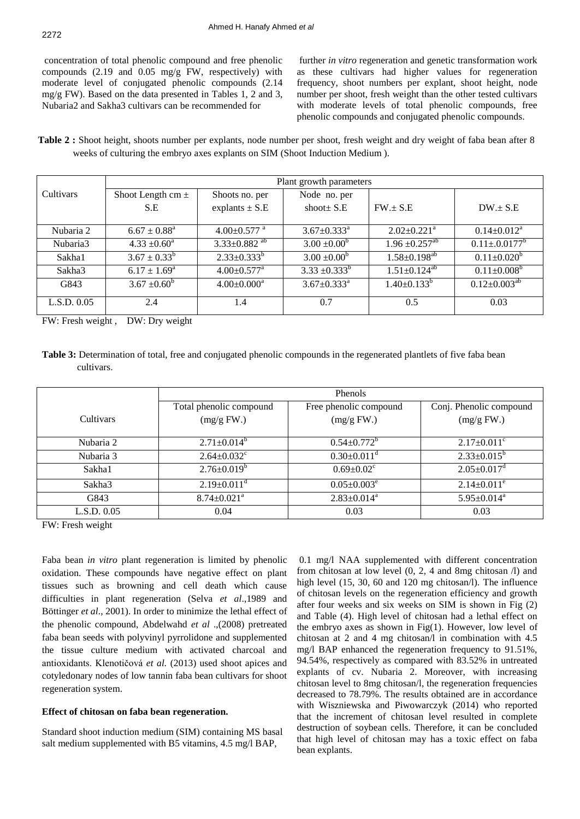concentration of total phenolic compound and free phenolic compounds (2.19 and 0.05 mg/g FW, respectively) with moderate level of conjugated phenolic compounds (2.14 mg/g FW). Based on the data presented in Tables 1, 2 and 3, Nubaria2 and Sakha3 cultivars can be recommended for

further *in vitro* regeneration and genetic transformation work as these cultivars had higher values for regeneration frequency, shoot numbers per explant, shoot height, node number per shoot, fresh weight than the other tested cultivars with moderate levels of total phenolic compounds, free phenolic compounds and conjugated phenolic compounds.

**Table 2 :** Shoot height, shoots number per explants, node number per shoot, fresh weight and dry weight of faba bean after 8 weeks of culturing the embryo axes explants on SIM (Shoot Induction Medium ).

|             | Plant growth parameters |                                |                               |                                |                       |
|-------------|-------------------------|--------------------------------|-------------------------------|--------------------------------|-----------------------|
| Cultivars   | Shoot Length cm $\pm$   | Shoots no. per                 | Node no. per                  |                                |                       |
|             | S.E                     | explants $\pm$ S.E             | shoot $S.E$                   | $FW. \pm S.E$                  | $DW \pm S.E$          |
|             |                         |                                |                               |                                |                       |
| Nubaria 2   | $6.67 \pm 0.88^a$       | $4.00 \pm 0.577$ <sup>a</sup>  | $3.67 \pm 0.333^a$            | $2.02 \pm 0.221$ <sup>a</sup>  | $0.14 \pm 0.012^a$    |
| Nubaria3    | $4.33 \pm 0.60^{\circ}$ | $3.33 \pm 0.882$ <sup>ab</sup> | $3.00 \pm 0.00^b$             | $1.96 \pm 0.257$ <sup>ab</sup> | $0.11 \pm 0.0177^b$   |
| Sakha1      | $3.67 \pm 0.33^b$       | $2.33 \pm 0.333^b$             | $3.00 \pm 0.00^b$             | $1.58 \pm 0.198^{ab}$          | $0.11 \pm 0.020^b$    |
| Sakha3      | $6.17 \pm 1.69^{\rm a}$ | $4.00 \pm 0.577$ <sup>a</sup>  | $3.33 \pm 0.333^b$            | $1.51 \pm 0.124^{ab}$          | $0.11 \pm 0.008^b$    |
| G843        | $3.67 \pm 0.60^b$       | $4.00 \pm 0.000^a$             | $3.67 \pm 0.333$ <sup>a</sup> | $1.40 \pm 0.133^b$             | $0.12 \pm 0.003^{ab}$ |
| L.S.D. 0.05 | 2.4                     | 1.4                            | 0.7                           | 0.5                            | 0.03                  |

FW: Fresh weight , DW: Dry weight

**Table 3:** Determination of total, free and conjugated phenolic compounds in the regenerated plantlets of five faba bean cultivars.

|                  | Phenols                               |                                      |                                       |
|------------------|---------------------------------------|--------------------------------------|---------------------------------------|
| <b>Cultivars</b> | Total phenolic compound<br>(mg/g FW.) | Free phenolic compound<br>(mg/g FW.) | Conj. Phenolic compound<br>(mg/g FW.) |
|                  |                                       |                                      |                                       |
| Nubaria 2        | $2.71 \pm 0.014^b$                    | $0.54 \pm 0.772^b$                   | $2.17 \pm 0.011$ °                    |
| Nubaria 3        | $2.64 \pm 0.032$ <sup>c</sup>         | $0.30 \pm 0.011$ <sup>d</sup>        | $2.33 \pm 0.015^b$                    |
| Sakha1           | $2.76 \pm 0.019^b$                    | $0.69 \pm 0.02$ <sup>c</sup>         | $2.05 \pm 0.017$ <sup>d</sup>         |
| Sakha3           | $2.19 \pm 0.011$ <sup>d</sup>         | $0.05 \pm 0.003^e$                   | $2.14 \pm 0.011^e$                    |
| G843             | $8.74 \pm 0.021$ <sup>a</sup>         | $2.83 \pm 0.014^a$                   | $5.95 \pm 0.014^a$                    |
| L.S.D. 0.05      | 0.04                                  | 0.03                                 | 0.03                                  |

FW: Fresh weight

Faba bean *in vitro* plant regeneration is limited by phenolic oxidation. These compounds have negative effect on plant tissues such as browning and cell death which cause difficulties in plant regeneration (Selva *et al*.,1989 and Böttinger *et al*., 2001). In order to minimize the lethal effect of the phenolic compound, Abdelwahd *et al* .,(2008) pretreated faba bean seeds with polyvinyl pyrrolidone and supplemented the tissue culture medium with activated charcoal and antioxidants. Klenotičová *et al.* (2013) used shoot apices and cotyledonary nodes of low tannin faba bean cultivars for shoot regeneration system.

## **Effect of chitosan on faba bean regeneration.**

Standard shoot induction medium (SIM) containing MS basal salt medium supplemented with B5 vitamins, 4.5 mg/l BAP,

0.1 mg/l NAA supplemented with different concentration from chitosan at low level (0, 2, 4 and 8mg chitosan /l) and high level (15, 30, 60 and 120 mg chitosan/l). The influence of chitosan levels on the regeneration efficiency and growth after four weeks and six weeks on SIM is shown in Fig (2) and Table (4). High level of chitosan had a lethal effect on the embryo axes as shown in  $Fig(1)$ . However, low level of chitosan at 2 and 4 mg chitosan/l in combination with 4.5 mg/l BAP enhanced the regeneration frequency to 91.51%, 94.54%, respectively as compared with 83.52% in untreated explants of cv. Nubaria 2. Moreover, with increasing chitosan level to 8mg chitosan/l, the regeneration frequencies decreased to 78.79%. The results obtained are in accordance with Wiszniewska and Piwowarczyk (2014) who reported that the increment of chitosan level resulted in complete destruction of soybean cells. Therefore, it can be concluded that high level of chitosan may has a toxic effect on faba bean explants.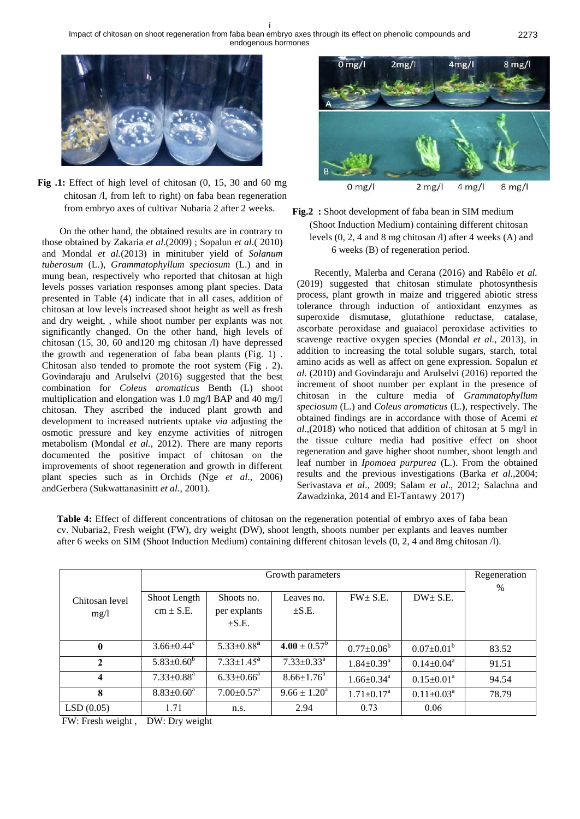

**Fig .1:** Effect of high level of chitosan (0, 15, 30 and 60 mg chitosan /l, from left to right) on faba bean regeneration from embryo axes of cultivar Nubaria 2 after 2 weeks.

On the other hand, the obtained results are in contrary to those obtained by Zakaria *et al*.(2009) ; Sopalun *et al*.( 2010) and Mondal *et al.*(2013) in minituber yield of *Solanum tuberosum* (L.), *Grammatophyllum speciosum* (L.) and in mung bean, respectively who reported that chitosan at high levels posses variation responses among plant species. Data presented in Table (4) indicate that in all cases, addition of chitosan at low levels increased shoot height as well as fresh and dry weight, , while shoot number per explants was not significantly changed. On the other hand, high levels of chitosan (15, 30, 60 and120 mg chitosan /l) have depressed the growth and regeneration of faba bean plants (Fig. 1) . Chitosan also tended to promote the root system (Fig . 2). Govindaraju and Arulselvi (2016) suggested that the best combination for *Coleus aromaticus* Benth (L) shoot multiplication and elongation was 1.0 mg/l BAP and 40 mg/l chitosan. They ascribed the induced plant growth and development to increased nutrients uptake *via* adjusting the osmotic pressure and key enzyme activities of nitrogen metabolism (Mondal *et al.*, 2012). There are many reports documented the positive impact of chitosan on the improvements of shoot regeneration and growth in different plant species such as in Orchids (Nge *et al*., 2006) andGerbera (Sukwattanasinitt *et al.*, 2001).



**Fig.2 :** Shoot development of faba bean in SIM medium (Shoot Induction Medium) containing different chitosan levels (0, 2, 4 and 8 mg chitosan /l) after 4 weeks (A) and 6 weeks (B) of regeneration period.

Recently, Malerba and Cerana (2016) and Rabêlo *et al.* (2019) suggested that chitosan stimulate photosynthesis process, plant growth in maize and triggered abiotic stress tolerance through induction of antioxidant enzymes as superoxide dismutase, glutathione reductase, catalase, ascorbate peroxidase and guaiacol peroxidase activities to scavenge reactive oxygen species (Mondal *et al.*, 2013), in addition to increasing the total soluble sugars, starch, total amino acids as well as affect on gene expression. Sopalun *et al*. (2010) and Govindaraju and Arulselvi (2016) reported the increment of shoot number per explant in the presence of chitosan in the culture media of *Grammatophyllum speciosum* (L.) and *Coleus aromaticus* (L.**(**, respectively. The obtained findings are in accordance with those of Acemi *et al*.,(2018) who noticed that addition of chitosan at 5 mg/l in the tissue culture media had positive effect on shoot regeneration and gave higher shoot number, shoot length and leaf number in *Ipomoea purpurea* (L.). From the obtained results and the previous investigations (Barka *et al.*,2004; Serivastava *et al*., 2009; Salam *et al*., 2012; Salachna and Zawadzinka, 2014 and [El-Tantawy](http://ascidatabase.com/author.php?author=E.M.&last=El-Tantawy) 2017)

**Table 4:** Effect of different concentrations of chitosan on the regeneration potential of embryo axes of faba bean cv. Nubaria2, Fresh weight (FW), dry weight (DW), shoot length, shoots number per explants and leaves number after 6 weeks on SIM (Shoot Induction Medium) containing different chitosan levels (0, 2, 4 and 8mg chitosan /l).

|                         | Growth parameters             |                                          |                            |                              | Regeneration<br>$\%$       |       |
|-------------------------|-------------------------------|------------------------------------------|----------------------------|------------------------------|----------------------------|-------|
| Chitosan level<br>mg/1  | Shoot Length<br>$cm \pm S.E.$ | Shoots no.<br>per explants<br>$\pm$ S.E. | Leaves no.<br>$\pm$ S.E.   | $FW + S.E.$                  | $DW \pm S.E.$              |       |
| $\mathbf{0}$            | $3.66 \pm 0.44$               | $5.33 \pm 0.88^a$                        | $4.00 \pm 0.57^{\rm b}$    | $0.77 \pm 0.06^b$            | $0.07 \pm 0.01^b$          | 83.52 |
| $\mathbf{2}$            | $5.83 \pm 0.60^b$             | $7.33 \pm 1.45^a$                        | $7.33 \pm 0.33^{\text{a}}$ | $1.84 \pm 0.39$ <sup>a</sup> | $0.14 \pm 0.04^{\text{a}}$ | 91.51 |
| $\overline{\mathbf{4}}$ | $7.33 \pm 0.88$ <sup>a</sup>  | $6.33 \pm 0.66^{\text{a}}$               | $8.66 \pm 1.76^{\circ}$    | $1.66 \pm 0.34$ <sup>a</sup> | $0.15 \pm 0.01^{\text{a}}$ | 94.54 |
| 8                       | $8.83 \pm 0.60^a$             | $7.00 \pm 0.57$ <sup>a</sup>             | $9.66 \pm 1.20^a$          | $1.71 \pm 0.17$ <sup>a</sup> | $0.11 \pm 0.03^a$          | 78.79 |
| LSD(0.05)               | 1.71                          | n.s.                                     | 2.94                       | 0.73                         | 0.06                       |       |

FW: Fresh weight , DW: Dry weight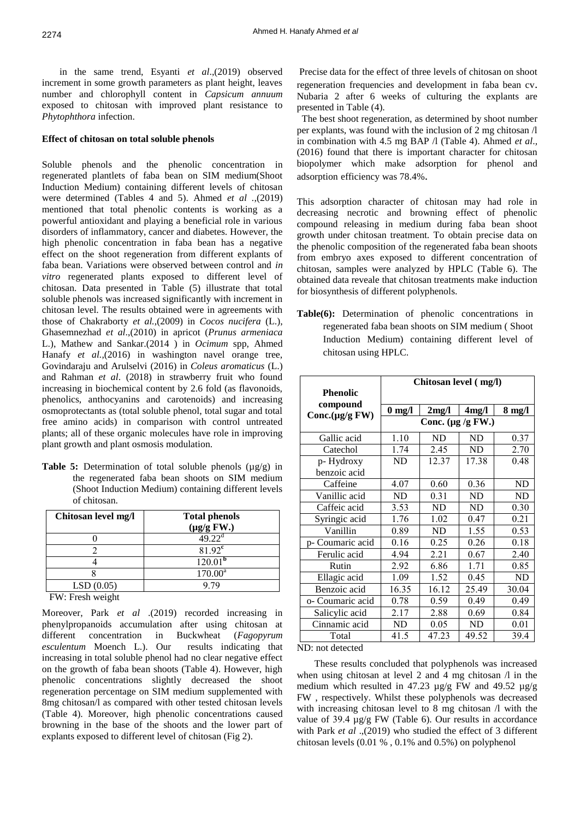in the same trend, Esyanti *et al*.,(2019) observed increment in some growth parameters as plant height, leaves number and chlorophyll content in *Capsicum annuum* exposed to chitosan with improved plant resistance to *Phytophthora* infection.

#### **Effect of chitosan on total soluble phenols**

Soluble phenols and the phenolic concentration in regenerated plantlets of faba bean on SIM medium(Shoot Induction Medium) containing different levels of chitosan were determined (Tables 4 and 5). Ahmed *et al .*,(2019) mentioned that total phenolic contents is working as a powerful antioxidant and playing a beneficial role in various disorders of inflammatory, cancer and diabetes. However, the high phenolic concentration in faba bean has a negative effect on the shoot regeneration from different explants of faba bean. Variations were observed between control and *in vitro* regenerated plants exposed to different level of chitosan. Data presented in Table (5) illustrate that total soluble phenols was increased significantly with increment in chitosan level. The results obtained were in agreements with those of Chakraborty *et al.*,(2009) in *Cocos nucifera* (L.), Ghasemnezhad *et al*.,(2010) in apricot (*Prunus armeniaca* L.), Mathew and Sankar.(2014 ) in *Ocimum* spp, Ahmed Hanafy *et al.*,(2016) in washington navel orange tree, Govindaraju and Arulselvi (2016) in *Coleus aromaticus* (L.) and Rahman *et al*. (2018) in strawberry fruit who found increasing in biochemical content by 2.6 fold (as flavonoids, phenolics, anthocyanins and carotenoids) and increasing osmoprotectants as (total soluble phenol, total sugar and total free amino acids) in comparison with control untreated plants; all of these organic molecules have role in improving plant growth and plant osmosis modulation.

**Table 5:** Determination of total soluble phenols  $(\mu g/g)$  in the regenerated faba bean shoots on SIM medium (Shoot Induction Medium) containing different levels of chitosan.

| Chitosan level mg/l                                              | <b>Total phenols</b><br>$(\mu g/g$ FW.) |
|------------------------------------------------------------------|-----------------------------------------|
|                                                                  | $49.22^{\text{d}}$                      |
|                                                                  | $81.92^{\circ}$                         |
|                                                                  | 120.01 <sup>b</sup>                     |
|                                                                  | $170.00^a$                              |
| LSD(0.05)                                                        | 9.79                                    |
| $\Gamma W L$ , $\Gamma_{\text{max}} L$ , $\Gamma_{\text{max}} L$ |                                         |

FW: Fresh weight

Moreover, Park *et al* .(2019) recorded increasing in phenylpropanoids accumulation after using chitosan at different concentration in Buckwheat (*Fagopyrum esculentum* Moench L.). Our results indicating that increasing in total soluble phenol had no clear negative effect on the growth of faba bean shoots (Table 4). However, high phenolic concentrations slightly decreased the shoot regeneration percentage on SIM medium supplemented with 8mg chitosan/l as compared with other tested chitosan levels (Table 4). Moreover, high phenolic concentrations caused browning in the base of the shoots and the lower part of explants exposed to different level of chitosan (Fig 2).

Precise data for the effect of three levels of chitosan on shoot regeneration frequencies and development in faba bean cv. Nubaria 2 after 6 weeks of culturing the explants are presented in Table (4).

 The best shoot regeneration, as determined by shoot number per explants, was found with the inclusion of 2 mg chitosan /l in combination with 4.5 mg BAP /l (Table 4). Ahmed *et al*.*,*  (2016) found that there is important character for chitosan biopolymer which make adsorption for phenol and adsorption efficiency was 78.4%.

This adsorption character of chitosan may had role in decreasing necrotic and browning effect of phenolic compound releasing in medium during faba bean shoot growth under chitosan treatment. To obtain precise data on the phenolic composition of the regenerated faba bean shoots from embryo axes exposed to different concentration of chitosan, samples were analyzed by HPLC (Table 6). The obtained data reveale that chitosan treatments make induction for biosynthesis of different polyphenols.

**Table(6):** Determination of phenolic concentrations in regenerated faba bean shoots on SIM medium ( Shoot Induction Medium) containing different level of chitosan using HPLC.

|                  | Chitosan level (mg/l)   |           |           |           |
|------------------|-------------------------|-----------|-----------|-----------|
| <b>Phenolic</b>  |                         |           |           |           |
| compound         | $0 \text{ mg/l}$        | 2mg/l     | 4mg/l     | $8$ mg/l  |
| Conc.(µg/g FW)   | Conc. ( $\mu$ g /g FW.) |           |           |           |
| Gallic acid      | 1.10                    | <b>ND</b> | <b>ND</b> | 0.37      |
| Catechol         | 1.74                    | 2.45      | <b>ND</b> | 2.70      |
| p-Hydroxy        | <b>ND</b>               | 12.37     | 17.38     | 0.48      |
| benzoic acid     |                         |           |           |           |
| Caffeine         | 4.07                    | 0.60      | 0.36      | <b>ND</b> |
| Vanillic acid    | <b>ND</b>               | 0.31      | <b>ND</b> | <b>ND</b> |
| Caffeic acid     | 3.53                    | ND        | <b>ND</b> | 0.30      |
| Syringic acid    | 1.76                    | 1.02      | 0.47      | 0.21      |
| Vanillin         | 0.89                    | ND        | 1.55      | 0.53      |
| p- Coumaric acid | 0.16                    | 0.25      | 0.26      | 0.18      |
| Ferulic acid     | 4.94                    | 2.21      | 0.67      | 2.40      |
| Rutin            | 2.92                    | 6.86      | 1.71      | 0.85      |
| Ellagic acid     | 1.09                    | 1.52      | 0.45      | <b>ND</b> |
| Benzoic acid     | 16.35                   | 16.12     | 25.49     | 30.04     |
| o- Coumaric acid | 0.78                    | 0.59      | 0.49      | 0.49      |
| Salicylic acid   | 2.17                    | 2.88      | 0.69      | 0.84      |
| Cinnamic acid    | ND                      | 0.05      | <b>ND</b> | 0.01      |
| Total            | 41.5                    | 47.23     | 49.52     | 39.4      |

#### ND: not detected

These results concluded that polyphenols was increased when using chitosan at level 2 and 4 mg chitosan  $\Lambda$  in the medium which resulted in 47.23  $\mu$ g/g FW and 49.52  $\mu$ g/g FW , respectively. Whilst these polyphenols was decreased with increasing chitosan level to 8 mg chitosan /l with the value of 39.4 µg/g FW (Table 6). Our results in accordance with Park *et al* .,(2019) who studied the effect of 3 different chitosan levels (0.01 % , 0.1% and 0.5%) on polyphenol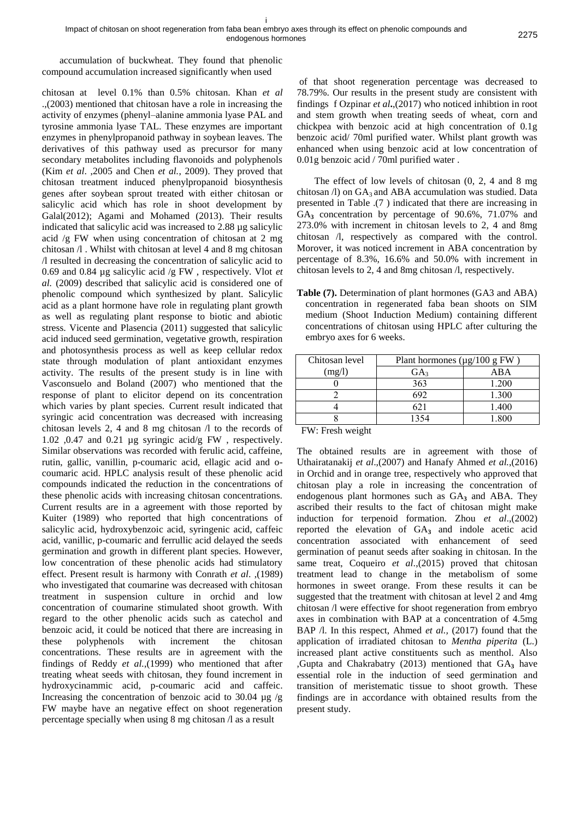accumulation of buckwheat. They found that phenolic compound accumulation increased significantly when used

chitosan at level 0.1% than 0.5% chitosan. Khan *et al*  .,(2003) mentioned that chitosan have a role in increasing the activity of enzymes (phenyl–alanine ammonia lyase PAL and tyrosine ammonia lyase TAL. These enzymes are important enzymes in phenylpropanoid pathway in soybean leaves. The derivatives of this pathway used as precursor for many secondary metabolites including flavonoids and polyphenols (Kim *et al*. ,2005 and Chen *et al.*, 2009). They proved that chitosan treatment induced phenylpropanoid biosynthesis genes after soybean sprout treated with either chitosan or salicylic acid which has role in shoot development by Galal(2012); Agami and Mohamed (2013). Their results indicated that salicylic acid was increased to 2.88 µg salicylic acid /g FW when using concentration of chitosan at 2 mg chitosan /l . Whilst with chitosan at level 4 and 8 mg chitosan /l resulted in decreasing the concentration of salicylic acid to 0.69 and 0.84 µg salicylic acid /g FW , respectively. Vlot *et al.* (2009) described that salicylic acid is considered one of phenolic compound which synthesized by plant. Salicylic acid as a plant hormone have role in regulating plant growth as well as regulating plant response to biotic and abiotic stress. Vicente and Plasencia (2011) suggested that salicylic acid induced seed germination, vegetative growth, respiration and photosynthesis process as well as keep cellular redox state through modulation of plant antioxidant enzymes activity. The results of the present study is in line with Vasconsuelo and Boland (2007) who mentioned that the response of plant to elicitor depend on its concentration which varies by plant species. Current result indicated that syringic acid concentration was decreased with increasing chitosan levels 2, 4 and 8 mg chitosan /l to the records of 1.02 ,0.47 and 0.21 µg syringic acid/g FW , respectively. Similar observations was recorded with ferulic acid, caffeine, rutin, gallic, vanillin, p-coumaric acid, ellagic acid and ocoumaric acid. HPLC analysis result of these phenolic acid compounds indicated the reduction in the concentrations of these phenolic acids with increasing chitosan concentrations. Current results are in a agreement with those reported by Kuiter (1989) who reported that high concentrations of salicylic acid, hydroxybenzoic acid, syringenic acid, caffeic acid, vanillic, p-coumaric and ferrullic acid delayed the seeds germination and growth in different plant species. However, low concentration of these phenolic acids had stimulatory effect. Present result is harmony with Conrath *et al*. ,(1989) who investigated that coumarine was decreased with chitosan treatment in suspension culture in orchid and low concentration of coumarine stimulated shoot growth. With regard to the other phenolic acids such as catechol and benzoic acid, it could be noticed that there are increasing in these polyphenols with increment the chitosan concentrations. These results are in agreement with the findings of Reddy *et al.*,(1999) who mentioned that after treating wheat seeds with chitosan, they found increment in hydroxycinammic acid, p-coumaric acid and caffeic. Increasing the concentration of benzoic acid to 30.04  $\mu$ g /g FW maybe have an negative effect on shoot regeneration percentage specially when using 8 mg chitosan /l as a result

of that shoot regeneration percentage was decreased to 78.79%. Our results in the present study are consistent with findings f Ozpinar *et al***.**,(2017) who noticed inhibtion in root and stem growth when treating seeds of wheat, corn and chickpea with benzoic acid at high concentration of 0.1g benzoic acid/ 70ml purified water. Whilst plant growth was enhanced when using benzoic acid at low concentration of 0.01g benzoic acid / 70ml purified water .

The effect of low levels of chitosan (0, 2, 4 and 8 mg chitosan  $\Lambda$ ) on GA<sub>3</sub> and ABA accumulation was studied. Data presented in Table .(7 ) indicated that there are increasing in GA**<sup>3</sup>** concentration by percentage of 90.6%, 71.07% and 273.0% with increment in chitosan levels to 2, 4 and 8mg chitosan /l, respectively as compared with the control. Morover, it was noticed increment in ABA concentration by percentage of 8.3%, 16.6% and 50.0% with increment in chitosan levels to 2, 4 and 8mg chitosan /l, respectively.

**Table (7).** Determination of plant hormones (GA3 and ABA) concentration in regenerated faba bean shoots on SIM medium (Shoot Induction Medium) containing different concentrations of chitosan using HPLC after culturing the embryo axes for 6 weeks.

| Chitosan level | Plant hormones ( $\mu$ g/100 g FW) |       |  |
|----------------|------------------------------------|-------|--|
| (mg/l)         | GA <sub>3</sub>                    | ABA   |  |
|                | 363                                | 1.200 |  |
|                | 692                                | 1.300 |  |
|                | 621                                | 1.400 |  |
|                | 1354                               | 1.800 |  |

FW: Fresh weight

The obtained results are in agreement with those of Uthairatanakij *et al*.,(2007) and Hanafy Ahmed *et al.*,(2016) in Orchid and in orange tree, respectively who approved that chitosan play a role in increasing the concentration of endogenous plant hormones such as GA<sub>3</sub> and ABA. They ascribed their results to the fact of chitosan might make induction for terpenoid formation. Zhou *et al*.,(2002) reported the elevation of GA**<sup>3</sup>** and indole acetic acid concentration associated with enhancement of seed germination of peanut seeds after soaking in chitosan. In the same treat, Coqueiro *et al*.,(2015) proved that chitosan treatment lead to change in the metabolism of some hormones in sweet orange. From these results it can be suggested that the treatment with chitosan at level 2 and 4mg chitosan /l were effective for shoot regeneration from embryo axes in combination with BAP at a concentration of 4.5mg BAP /l. In this respect, Ahmed *et al.,* (2017) found that the application of irradiated chitosan to *Mentha piperita* (L.) increased plant active constituents such as menthol. Also ,Gupta and Chakrabatry (2013) mentioned that GA<sub>3</sub> have essential role in the induction of seed germination and transition of meristematic tissue to shoot growth. These findings are in accordance with obtained results from the present study.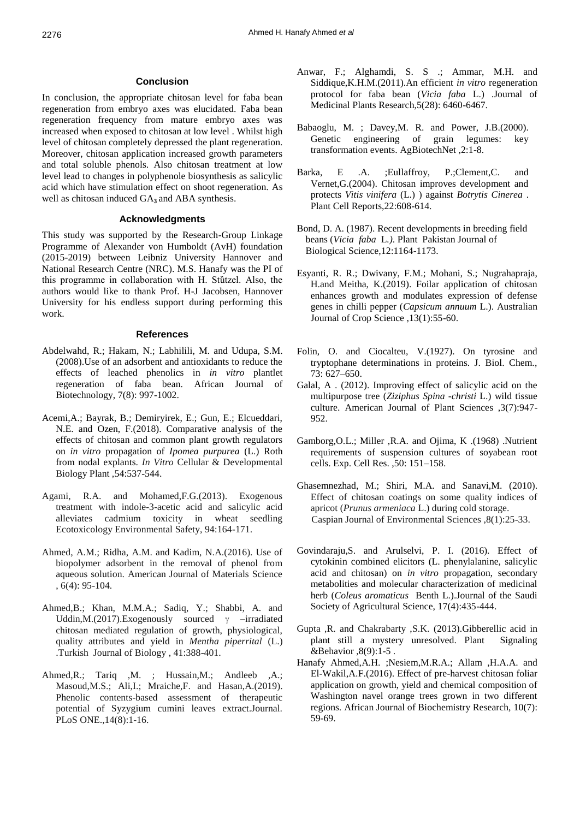## **Conclusion**

In conclusion, the appropriate chitosan level for faba bean regeneration from embryo axes was elucidated. Faba bean regeneration frequency from mature embryo axes was increased when exposed to chitosan at low level . Whilst high level of chitosan completely depressed the plant regeneration. Moreover, chitosan application increased growth parameters and total soluble phenols. Also chitosan treatment at low level lead to changes in polyphenole biosynthesis as salicylic acid which have stimulation effect on shoot regeneration. As well as chitosan induced GA**<sup>3</sup>** and ABA synthesis.

# **Acknowledgments**

This study was supported by the Research-Group Linkage Programme of Alexander von Humboldt (AvH) foundation (2015-2019) between Leibniz University Hannover and National Research Centre (NRC). M.S. Hanafy was the PI of this programme in collaboration with H. Stützel. Also, the authors would like to thank Prof. H-J Jacobsen, Hannover University for his endless support during performing this work.

#### **References**

- Abdelwahd, R.; Hakam, N.; Labhilili, M. and Udupa, S.M. (2008).Use of an adsorbent and antioxidants to reduce the effects of leached phenolics in *in vitro* plantlet regeneration of faba bean. African Journal of Biotechnology, 7(8): 997-1002.
- Acemi,A.; Bayrak, B.; Demiryirek, E.; Gun, E.; Elcueddari, N.E. and Ozen, F.(2018). Comparative analysis of the effects of chitosan and common plant growth regulators on *in vitro* propagation of *Ipomea purpurea* (L.) Roth from nodal explants. *In Vitro* Cellular & Developmental Biology Plant ,54:537-544.
- Agami, R.A. and Mohamed,F.G.(2013). Exogenous treatment with indole-3-acetic acid and salicylic acid alleviates cadmium toxicity in wheat seedling Ecotoxicology Environmental Safety, 94:164-171.
- Ahmed, A.M.; Ridha, A.M. and Kadim, N.A.(2016). Use of biopolymer adsorbent in the removal of phenol from aqueous solution. American Journal of Materials Science , 6(4): 95-104.
- Ahmed,B.; Khan, M.M.A.; Sadiq, Y.; Shabbi, A. and Uddin,M.(2017).Exogenously sourced  $\gamma$  –irradiated chitosan mediated regulation of growth, physiological, quality attributes and yield in *Mentha piperrital* (L.) .Turkish Journal of Biology , 41:388-401.
- Ahmed,R.; Tariq ,M. ; Hussain,M.; Andleeb ,A.; Masoud,M.S.; Ali,I.; Mraiche,F. and Hasan,A.(2019). Phenolic contents-based assessment of therapeutic potential of Syzygium cumini leaves extract.Journal. PLoS ONE.,14(8):1-16.
- Anwar, F.; Alghamdi, S. S .; Ammar, M.H. and Siddique,K.H.M.(2011).An efficient *in vitro* regeneration protocol for faba bean (*Vicia faba* L.) .Journal of Medicinal Plants Research,5(28): 6460-6467.
- Babaoglu, M. ; Davey,M. R. and Power, J.B.(2000). Genetic engineering of grain legumes: key transformation events. AgBiotechNet ,2:1-8.
- Barka, E .A. ; Eullaffroy, P.; Clement, C. and Vernet,G.(2004). Chitosan improves development and protects *Vitis vinifera* (L.) ) against *Botrytis Cinerea* . Plant Cell Reports,22:608-614.
- Bond, D. A. (1987). Recent developments in breeding field beans (*Vicia faba* L*.)*. Plant Pakistan Journal of Biological Science,12:1164-1173.
- Esyanti, R. R.; Dwivany, F.M.; Mohani, S.; Nugrahapraja, H.and Meitha, K.(2019). Foilar application of chitosan enhances growth and modulates expression of defense genes in chilli pepper (*Capsicum annuum* L.). Australian Journal of Crop Science ,13(1):55-60.
- Folin, O. and Ciocalteu, V.(1927). On tyrosine and tryptophane determinations in proteins. J. Biol. Chem., 73: 627–650.
- Galal, A . (2012). Improving effect of salicylic acid on the multipurpose tree (*Ziziphus Spina -christi* L.) wild tissue culture. American Journal of Plant Sciences ,3(7):947- 952.
- Gamborg,O.L.; Miller ,R.A. and Ojima, K .(1968) .Nutrient requirements of suspension cultures of soyabean root cells. Exp. Cell Res. ,50: 151–158.
- [Ghasemnezhad,](https://www.researchgate.net/profile/Mahmood_Ghasemnezhad) M.; [Shiri,](https://www.researchgate.net/profile/Mohammad_Ali_Shiri) M.A. and [Sanavi,](https://www.researchgate.net/scientific-contributions/2107744411_M_Sanavi)M. (2010). Effect of chitosan coatings on some quality indices of apricot (*Prunus armeniaca* L.) during cold storage. Caspian Journal of Environmental Sciences ,8(1):25-33.
- Govindaraju,S. and Arulselvi, P. I. (2016). Effect of cytokinin combined elicitors (L. phenylalanine, salicylic acid and chitosan) on *in vitro* propagation, secondary metabolities and molecular characterization of medicinal herb (*Coleus aromaticus* Benth L.).Journal of the Saudi Society of Agricultural Science, 17(4):435-444.
- Gupta ,R. and Chakrabarty ,S.K. (2013).Gibberellic acid in plant still a mystery unresolved. Plant Signaling &Behavior ,8(9):1-5 .
- Hanafy Ahmed,A.H. ;Nesiem,M.R.A.; Allam ,H.A.A. and El-Wakil,A.F.(2016). Effect of pre-harvest chitosan foliar application on growth, yield and chemical composition of Washington navel orange trees grown in two different regions. African Journal of Biochemistry Research, 10(7): 59-69.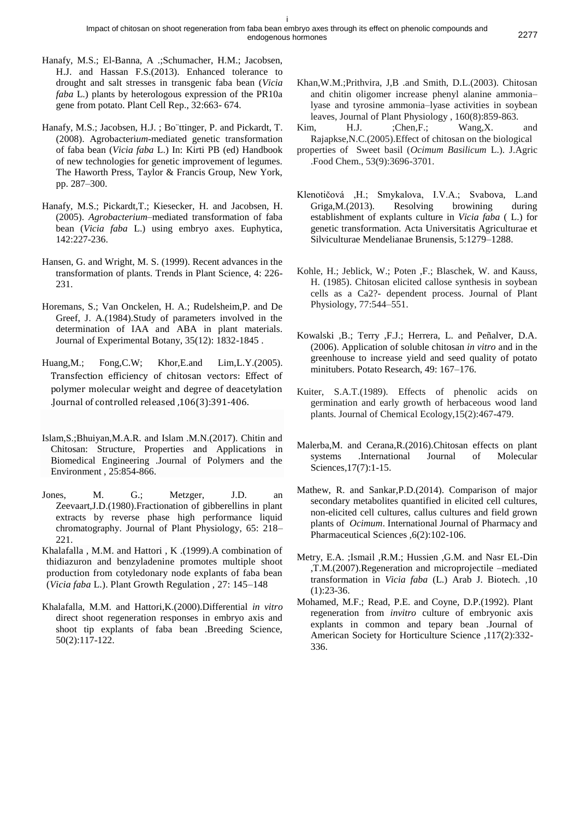- Hanafy, M.S.; El-Banna, A .;Schumacher, H.M.; Jacobsen, H.J. and Hassan F.S.(2013). Enhanced tolerance to drought and salt stresses in transgenic faba bean (*Vicia faba* L.) plants by heterologous expression of the PR10a gene from potato. Plant Cell Rep., 32:663- 674.
- Hanafy, M.S.; Jacobsen, H.J. ; Bo¨ttinger, P. and Pickardt, T. (2008). Agrobacteri*um*-mediated genetic transformation of faba bean (*Vicia faba* L.) In: Kirti PB (ed) Handbook of new technologies for genetic improvement of legumes. The Haworth Press, Taylor & Francis Group, New York, pp. 287–300.
- Hanafy, M.S.; Pickardt,T.; Kiesecker, H. and Jacobsen, H. (2005). *Agrobacterium*–mediated transformation of faba bean (*Vicia faba* L.) using embryo axes. Euphytica, 142:227-236.
- Hansen, G. and Wright, M. S. (1999). Recent advances in the transformation of plants. Trends in Plant Science, 4: 226- 231.
- Horemans, S.; Van Onckelen, H. A.; Rudelsheim,P. and De Greef, J. A.(1984).Study of parameters involved in the determination of IAA and ABA in plant materials. Journal of Experimental Botany, 35(12): 1832-1845 .
- Huang,M.; Fong,C.W; Khor,E.and Lim,L.Y.(2005). Transfection efficiency of chitosan vectors: Effect of polymer molecular weight and degree of deacetylation .Journal of controlled released ,106(3):391-406.
- Islam,S.;Bhuiyan,M.A.R. and Islam .M.N.(2017). Chitin and Chitosan: Structure, Properties and Applications in Biomedical Engineering .Journal of Polymers and the Environment , 25:854-866.
- Jones, M. G.; Metzger, J.D. an Zeevaart,J.D.(1980).Fractionation of gibberellins in plant extracts by reverse phase high performance liquid chromatography. Journal of Plant Physiology, 65: 218– 221.
- Khalafalla , M.M. and Hattori , K .(1999).A combination of thidiazuron and benzyladenine promotes multiple shoot production from cotyledonary node explants of faba bean (*Vicia faba* L.). Plant Growth Regulation , 27: 145–148
- Khalafalla, M.M. and Hattori,K.(2000).Differential *in vitro* direct shoot regeneration responses in embryo axis and shoot tip explants of faba bean .Breeding Science, 50(2):117-122.
- Khan,W.M.;Prithvira, J,B .and Smith, D.L.(2003). Chitosan and chitin oligomer increase phenyl alanine ammonia– lyase and tyrosine ammonia–lyase activities in soybean leaves, Journal of Plant Physiology , 160(8):859-863.
- Kim, H.J. ;Chen,F.; Wang,X. and Rajapkse,N.C.(2005).Effect of chitosan on the biological
- properties of Sweet basil (*Ocimum Basilicum* L.). J.Agric .Food Chem., 53(9):3696-3701.
- Klenotičová ,H.; Smykalova, I.V.A.; Svabova, L.and Griga,M.(2013). Resolving browining during establishment of explants culture in *Vicia faba* ( L.) for genetic transformation. Acta Universitatis Agriculturae et Silviculturae Mendelianae Brunensis, 5:1279–1288.
- Kohle, H.; Jeblick, W.; Poten ,F.; Blaschek, W. and Kauss, H. (1985). Chitosan elicited callose synthesis in soybean cells as a Ca2?- dependent process. Journal of Plant Physiology, 77:544–551.
- Kowalski ,B.; Terry ,F.J.; Herrera, L. and Peñalver, D.A. (2006). Application of soluble chitosan *in vitro* and in the greenhouse to increase yield and seed quality of potato minitubers. Potato Research, 49: 167–176.
- Kuiter, S.A.T.(1989). Effects of phenolic acids on germination and early growth of herbaceous wood land plants. Journal of Chemical Ecology,15(2):467-479.
- Malerba,M. and Cerana,R.(2016).Chitosan effects on plant systems .International Journal of Molecular Sciences,17(7):1-15.
- Mathew, R. and Sankar,P.D.(2014). Comparison of major secondary metabolites quantified in elicited cell cultures, non-elicited cell cultures, callus cultures and field grown plants of *Ocimum*. International Journal of Pharmacy and Pharmaceutical Sciences ,6(2):102-106.
- Metry, E.A. ;Ismail ,R.M.; Hussien ,G.M. and Nasr EL-Din ,T.M.(2007).Regeneration and microprojectile –mediated transformation in *Vicia faba* (L.) Arab J. Biotech. ,10 (1):23-36.
- Mohamed, M.F.; Read, P.E. and Coyne, D.P.(1992). Plant regeneration from *invitro* culture of embryonic axis explants in common and tepary bean .Journal of American Society for Horticulture Science ,117(2):332- 336.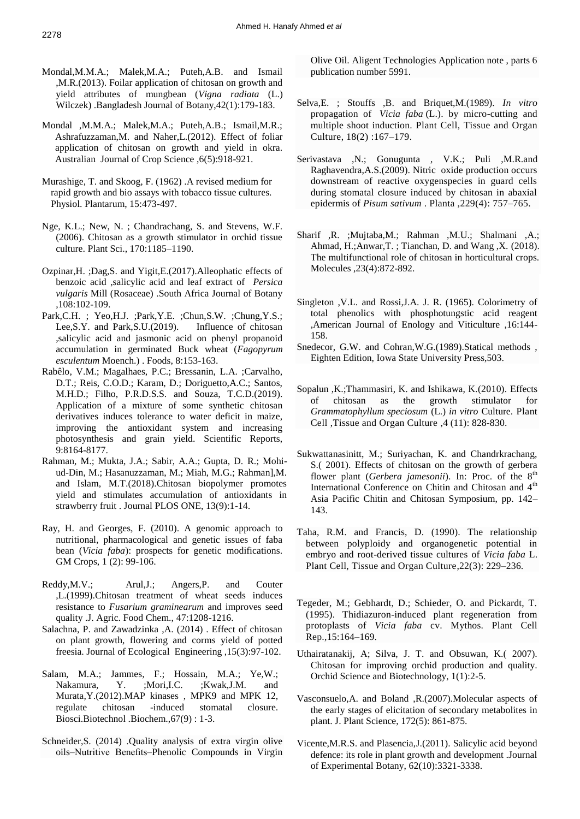- Mondal,M.M.A.; Malek,M.A.; Puteh,A.B. and Ismail ,M.R.(2013). Foilar application of chitosan on growth and yield attributes of mungbean (*Vigna radiata* (L.) Wilczek) .Bangladesh Journal of Botany,42(1):179-183.
- Mondal ,M.M.A.; Malek,M.A.; Puteh,A.B.; Ismail,M.R.; Ashrafuzzaman,M. and Naher,L.(2012). Effect of foliar application of chitosan on growth and yield in okra. Australian Journal of Crop Science ,6(5):918-921.
- Murashige, T. and Skoog, F. (1962) .A revised medium for rapid growth and bio assays with tobacco tissue cultures. Physiol. Plantarum, 15:473-497.
- Nge, K.L.; New, N. ; Chandrachang, S. and Stevens, W.F. (2006). Chitosan as a growth stimulator in orchid tissue culture. Plant Sci., 170:1185–1190.
- Ozpinar,H. ;Dag,S. and Yigit,E.(2017).Alleophatic effects of benzoic acid ,salicylic acid and leaf extract of *Persica vulgaris* Mill (Rosaceae) .South Africa Journal of Botany ,108:102-109.
- Park,C.H. ; Yeo,H.J. ;Park,Y.E. ;Chun,S.W. ;Chung,Y.S.; Lee,S.Y. and Park,S.U.(2019). Influence of chitosan ,salicylic acid and jasmonic acid on phenyl propanoid accumulation in germinated Buck wheat (*Fagopyrum esculentum* Moench.) . Foods, 8:153-163.
- Rabêlo, V.M.; Magalhaes, P.C.; Bressanin, L.A. ;Carvalho, D.T.; Reis, C.O.D.; Karam, D.; Doriguetto,A.C.; Santos, M.H.D.; Filho, P.R.D.S.S. and Souza, T.C.D.(2019). Application of a mixture of some synthetic chitosan derivatives induces tolerance to water deficit in maize, improving the antioxidant system and increasing photosynthesis and grain yield. Scientific Reports, 9:8164-8177.
- Rahman, M.; Mukta, J.A.; Sabir, A.A.; Gupta, D. R.; Mohiud-Din, M.; Hasanuzzaman, M.; Miah, M.G.; Rahman],M. and Islam, M.T.(2018).Chitosan biopolymer promotes yield and stimulates accumulation of antioxidants in strawberry fruit . Journal PLOS ONE, 13(9):1-14.
- Ray, H. and Georges, F. (2010). A genomic approach to nutritional, pharmacological and genetic issues of faba bean (*Vicia faba*): prospects for genetic modifications. GM Crops, 1 (2): 99-106.
- Reddy,M.V.; Arul,J.; Angers,P. and Couter ,L.(1999).Chitosan treatment of wheat seeds induces resistance to *Fusarium graminearum* and improves seed quality .J. Agric. Food Chem., 47:1208-1216.
- Salachna, P. and Zawadzinka ,A. (2014) . Effect of chitosan on plant growth, flowering and corms yield of potted freesia. Journal of Ecological Engineering ,15(3):97-102.
- Salam, M.A.; Jammes, F.; Hossain, M.A.; Ye,W.; Nakamura, Y. ;Mori,I.C. ;Kwak,J.M. and Murata,Y.(2012).MAP kinases , MPK9 and MPK 12, regulate chitosan -induced stomatal closure. Biosci.Biotechnol .Biochem.,67(9) : 1-3.
- Schneider,S. (2014) .Quality analysis of extra virgin olive oils–Nutritive Benefits–Phenolic Compounds in Virgin

Olive Oil. Aligent Technologies Application note , parts 6 publication number 5991.

- Selva,E. ; Stouffs ,B. and Briquet,M.(1989). *In vitro* propagation of *Vicia faba* (L.). by micro-cutting and multiple shoot induction. [Plant Cell, Tissue and Organ](https://link.springer.com/journal/11240)  [Culture,](https://link.springer.com/journal/11240) 18(2) :167–179.
- Serivastava ,N.; Gonugunta , V.K.; Puli ,M.R.and Raghavendra,A.S.(2009). Nitric oxide production occurs downstream of reactive oxygenspecies in guard cells during stomatal closure induced by chitosan in abaxial epidermis of *Pisum sativum* . Planta ,229(4): 757–765.
- Sharif ,R. ;Mujtaba,M.; Rahman ,M.U.; Shalmani ,A.; Ahmad, H.;Anwar,T. ; Tianchan, D. and Wang ,X. (2018). The multifunctional role of chitosan in horticultural crops. Molecules ,23(4):872-892.
- Singleton ,V.L. and Rossi,J.A. J. R. (1965). Colorimetry of total phenolics with phosphotungstic acid reagent ,American Journal of Enology and Viticulture ,16:144- 158.
- Snedecor, G.W. and Cohran,W.G.(1989).Statical methods , Eighten Edition, Iowa State University Press,503.
- Sopalun ,K.;Thammasiri, K. and Ishikawa, K.(2010). Effects of chitosan as the growth stimulator for *Grammatophyllum speciosum* (L.) *in vitro* Culture. [Plant](https://link.springer.com/journal/11240)  [Cell ,Tissue and Organ Culture](https://link.springer.com/journal/11240) ,4 (11): 828-830.
- Sukwattanasinitt, M.; Suriyachan, K. and Chandrkrachang, S.( 2001). Effects of chitosan on the growth of gerbera flower plant (*Gerbera jamesonii*). In: Proc. of the 8<sup>th</sup> International Conference on Chitin and Chitosan and 4<sup>th</sup> Asia Pacific Chitin and Chitosan Symposium, pp. 142– 143.
- Taha, R.M. and Francis, D. (1990). The relationship between polyploidy and organogenetic potential in embryo and root-derived tissue cultures of *Vicia faba* L. [Plant Cell, Tissue and Organ Culture,](https://link.springer.com/journal/11240)22(3): 229–236.
- Tegeder, M.; Gebhardt, D.; Schieder, O. and Pickardt, T. (1995). Thidiazuron-induced plant regeneration from protoplasts of *Vicia faba* cv. Mythos. Plant Cell Rep.,15:164–169.
- Uthairatanakij, A; Silva, J. T. and Obsuwan, K.( 2007). Chitosan for improving orchid production and quality. Orchid Science and Biotechnology, 1(1):2-5.
- Vasconsuelo,A. and Boland ,R.(2007).Molecular aspects of the early stages of elicitation of secondary metabolites in plant. J. Plant Science, 172(5): 861-875.
- Vicente,M.R.S. and Plasencia,J.(2011). Salicylic acid beyond defence: its role in plant growth and development .Journal of Experimental Botany, 62(10):3321-3338.